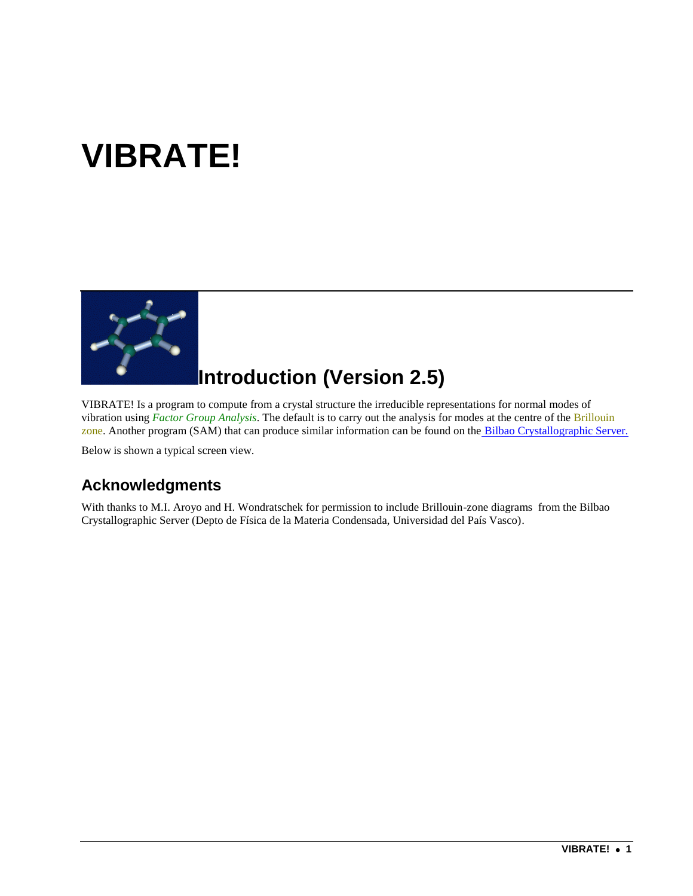# **VIBRATE!**



## **Introduction (Version 2.5)**

VIBRATE! Is a program to compute from a crystal structure the irreducible representations for normal modes of vibration using *Factor Group Analysis*. The default is to carry out the analysis for modes at the centre of the Brillouin zone. Another program (SAM) that can produce similar information can be found on the [Bilbao Crystallographic Server.](http://www.cryst.ehu.es/rep/sam.html)

Below is shown a typical screen view.

#### **Acknowledgments**

With thanks to M.I. Aroyo and H. Wondratschek for permission to include Brillouin-zone diagrams from the Bilbao Crystallographic Server (Depto de Física de la Materia Condensada, Universidad del País Vasco).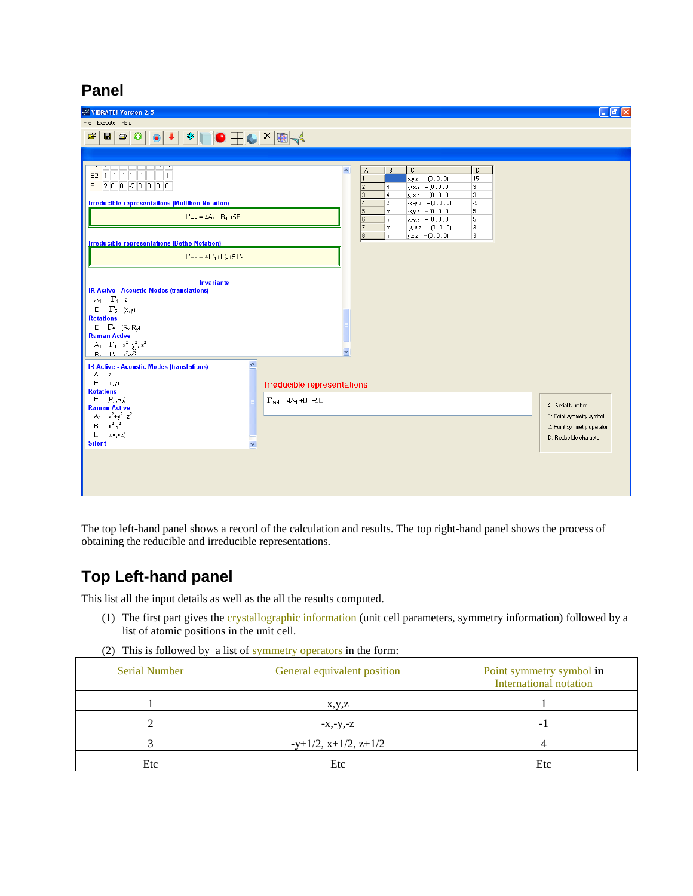#### **Panel**

| ▎▌▌▘▏░▏▊▁▕▁▏▓▏░▏<br>$\bullet$<br>$\mathbf{r}$<br>81<br>4<br>فالمسالمة المسالمات<br>B<br>$\mathbb C$<br>$\mathsf{D}$<br>A<br>А<br>B2 1 -1 -1 1 -1 -1 1 1<br>$x,y,z$ + $(0,0,0)$<br>15<br>200200000<br>E<br>$-y.x.z + (0, 0, 0)$<br>3<br>$\overline{c}$<br>3<br>$y, x, z \rightarrow (0, 0, 0)$<br>3<br>$\overline{4}$<br>$-x, y, z + (0, 0, 0)$<br>-5<br><b>Irreducible representations (Mulliken Notation)</b><br>2<br>5<br>$-x,y,z$ + $(0,0,0)$<br>5<br>m<br>$\Gamma_{\text{red}} = 4A_1 + B_1 + 5E$<br>l 6<br>5<br>$x, y, z + (0, 0, 0)$<br>m<br>7<br>3<br>$y, x, z + (0, 0, 0)$<br>m<br>8<br>3<br>$y.x.z + (0.0.0)$<br>lm.<br><b>Irreducible representations (Bethe Notation)</b><br>$\Gamma_{\text{red}} = 4\Gamma_1 + \Gamma_3 + 5\Gamma_6$<br><b>Invariants</b><br><b>IR Active - Acoustic Modes (translations)</b><br>$A_1$ $\Gamma_1$ z<br>$\Gamma_5$ (x,y)<br>Ε<br><b>Rotations</b><br>$E = \Gamma_5$ $(R_x, R_y)$<br><b>Raman Active</b><br>$A_4=\Gamma_4-x^2+y^2, z^2$<br>v<br><b>B.</b> $\Gamma_2 \sqrt{2\sqrt{3}}$<br>$\blacktriangle$<br><b>IR Active - Acoustic Modes (translations)</b><br>$A_1$ z<br>E(x,y)<br>Irreducible representations<br><b>Rotations</b><br>$E$ $(R_x, R_y)$<br>$\Gamma_{\text{red}}$ = 4A <sub>1</sub> +B <sub>1</sub> +5E<br>A: Serial Number<br><b>Raman Active</b><br>$A_1$ $x^2+y^2$ , $z^2$<br>B: Point symmetry symbol<br>$B_1$ $x^2-y^2$<br>C: Point symmetry operator<br>E(xy,yz)<br>D: Reducible character<br><b>Silent</b> | <b>VIBRATE! Version 2.5</b> | $\Box$ e $\times$ |
|------------------------------------------------------------------------------------------------------------------------------------------------------------------------------------------------------------------------------------------------------------------------------------------------------------------------------------------------------------------------------------------------------------------------------------------------------------------------------------------------------------------------------------------------------------------------------------------------------------------------------------------------------------------------------------------------------------------------------------------------------------------------------------------------------------------------------------------------------------------------------------------------------------------------------------------------------------------------------------------------------------------------------------------------------------------------------------------------------------------------------------------------------------------------------------------------------------------------------------------------------------------------------------------------------------------------------------------------------------------------------------------------------------------------------------------------------------------------------|-----------------------------|-------------------|
|                                                                                                                                                                                                                                                                                                                                                                                                                                                                                                                                                                                                                                                                                                                                                                                                                                                                                                                                                                                                                                                                                                                                                                                                                                                                                                                                                                                                                                                                              | File Execute Help           |                   |
|                                                                                                                                                                                                                                                                                                                                                                                                                                                                                                                                                                                                                                                                                                                                                                                                                                                                                                                                                                                                                                                                                                                                                                                                                                                                                                                                                                                                                                                                              |                             |                   |
|                                                                                                                                                                                                                                                                                                                                                                                                                                                                                                                                                                                                                                                                                                                                                                                                                                                                                                                                                                                                                                                                                                                                                                                                                                                                                                                                                                                                                                                                              |                             |                   |

The top left-hand panel shows a record of the calculation and results. The top right-hand panel shows the process of obtaining the reducible and irreducible representations.

#### **Top Left-hand panel**

This list all the input details as well as the all the results computed.

- (1) The first part gives the crystallographic information (unit cell parameters, symmetry information) followed by a list of atomic positions in the unit cell.
- (2) This is followed by a list of symmetry operators in the form:

| <b>Serial Number</b> | General equivalent position  | Point symmetry symbol in<br>International notation |
|----------------------|------------------------------|----------------------------------------------------|
|                      | x,y,z                        |                                                    |
|                      | $-X,-Y,-Z$                   |                                                    |
|                      | $-y+1/2$ , $x+1/2$ , $z+1/2$ |                                                    |
| Etc                  | Etc                          | Etc                                                |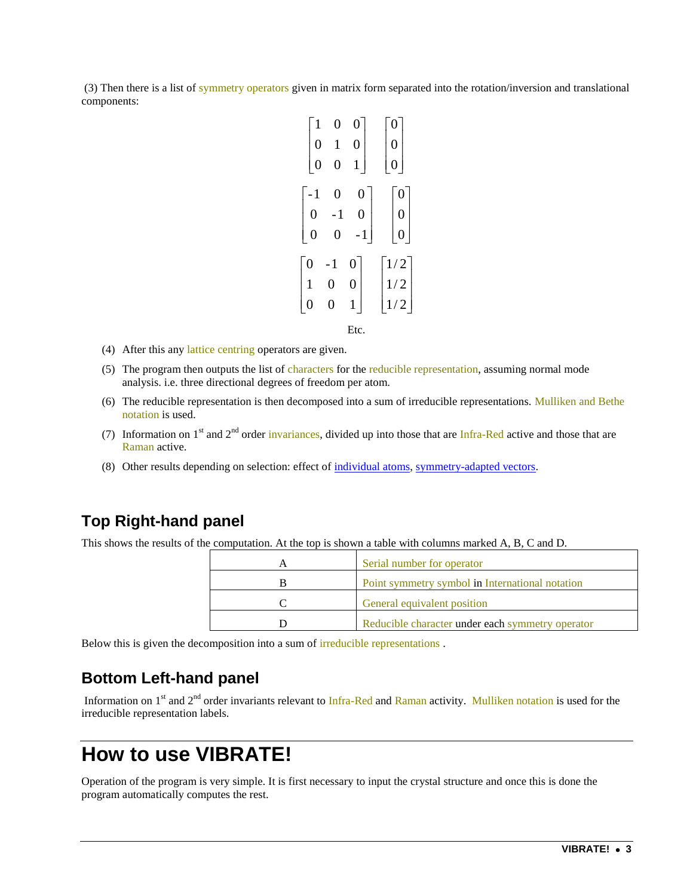(3) Then there is a list of symmetry operators given in matrix form separated into the rotation/inversion and translational components:

| $\boldsymbol{0}$                      | $\mathbf{1}$     | 0                | $\boldsymbol{0}$                           |
|---------------------------------------|------------------|------------------|--------------------------------------------|
| $\boldsymbol{0}$                      | 0                | $\mathbf{1}$     | $\overline{0}$                             |
| $-1$                                  | 0                | $\boldsymbol{0}$ | $\boldsymbol{0}$                           |
|                                       | $-1$             | $\boldsymbol{0}$ | $\boldsymbol{0}$                           |
| $\begin{array}{c} 0 \\ 0 \end{array}$ | 0                | $-1$             | $\overline{0}$                             |
| $\overline{0}$                        | - 1              | 0                | $\frac{1}{2}$                              |
| $\mathbf{1}$                          | $\boldsymbol{0}$ | $\boldsymbol{0}$ |                                            |
| 0                                     | 0                | $\mathbf{1}$     | $\begin{bmatrix} 1/2 \\ 1/2 \end{bmatrix}$ |
|                                       |                  | Etc.             |                                            |

- (4) After this any lattice centring operators are given.
- (5) The program then outputs the list of characters for the reducible representation, assuming normal mode analysis. i.e. three directional degrees of freedom per atom.
- (6) The reducible representation is then decomposed into a sum of irreducible representations. Mulliken and Bethe notation is used.
- (7) Information on  $1<sup>st</sup>$  and  $2<sup>nd</sup>$  order invariances, divided up into those that are Infra-Red active and those that are Raman active.
- (8) Other results depending on selection: effect of [individual atoms,](#page-7-0) [symmetry-adapted vectors.](#page-7-1)

#### **Top Right-hand panel**

This shows the results of the computation. At the top is shown a table with columns marked A, B, C and D.

| Serial number for operator                       |
|--------------------------------------------------|
| Point symmetry symbol in International notation  |
| General equivalent position                      |
| Reducible character under each symmetry operator |

Below this is given the decomposition into a sum of irreducible representations .

#### **Bottom Left-hand panel**

Information on 1<sup>st</sup> and 2<sup>nd</sup> order invariants relevant to Infra-Red and Raman activity. Mulliken notation is used for the irreducible representation labels.

### **How to use VIBRATE!**

Operation of the program is very simple. It is first necessary to input the crystal structure and once this is done the program automatically computes the rest.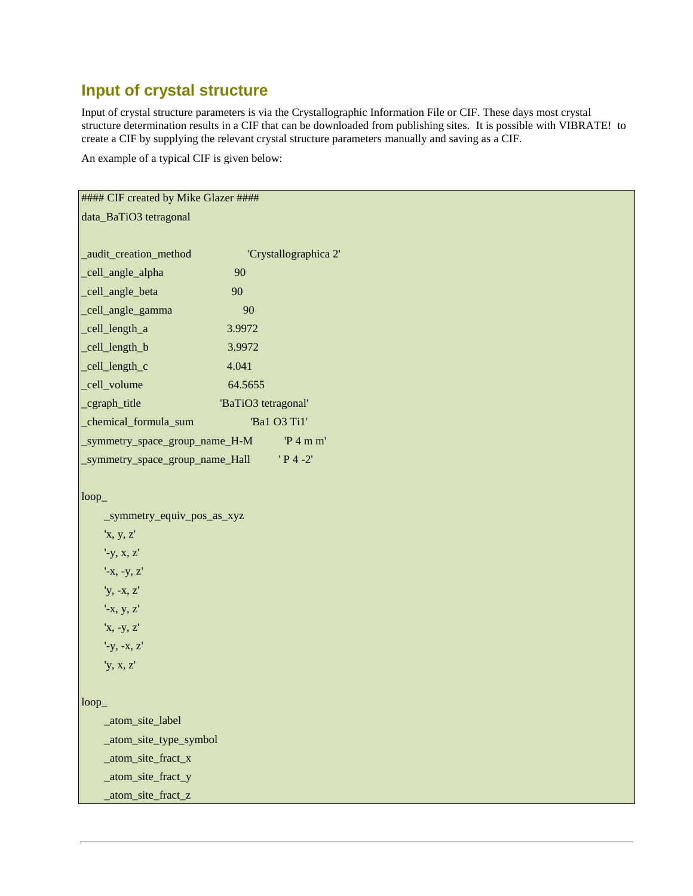### **Input of crystal structure**

Input of crystal structure parameters is via the Crystallographic Information File or CIF. These days most crystal structure determination results in a CIF that can be downloaded from publishing sites. It is possible with VIBRATE! to create a CIF by supplying the relevant crystal structure parameters manually and saving as a CIF.

An example of a typical CIF is given below:

| #### CIF created by Mike Glazer #### |                     |                       |
|--------------------------------------|---------------------|-----------------------|
| data_BaTiO3 tetragonal               |                     |                       |
|                                      |                     |                       |
| _audit_creation_method               |                     | 'Crystallographica 2' |
| _cell_angle_alpha                    | 90                  |                       |
| _cell_angle_beta                     | 90                  |                       |
| _cell_angle_gamma                    | 90                  |                       |
| _cell_length_a                       | 3.9972              |                       |
| _cell_length_b                       | 3.9972              |                       |
| _cell_length_c                       | 4.041               |                       |
| _cell_volume                         | 64.5655             |                       |
| _cgraph_title                        | 'BaTiO3 tetragonal' |                       |
| _chemical_formula_sum                |                     | 'Ba1 O3 Ti1'          |
| _symmetry_space_group_name_H-M       |                     | $P_4$ m m'            |
| _symmetry_space_group_name_Hall      |                     | $'P4 -2'$             |
|                                      |                     |                       |
| loop                                 |                     |                       |
| _symmetry_equiv_pos_as_xyz           |                     |                       |
| 'x, y, z'                            |                     |                       |
| $'$ -y, x, z'                        |                     |                       |
| $'$ -x, -y, z'                       |                     |                       |
| 'y, -x, z'                           |                     |                       |
| $'$ -x, y, z'                        |                     |                       |
| 'x, -y, z'                           |                     |                       |
| $'$ -y, -x, z'                       |                     |                       |
| 'y, x, z'                            |                     |                       |
|                                      |                     |                       |
| loop                                 |                     |                       |
| _atom_site_label                     |                     |                       |
| _atom_site_type_symbol               |                     |                       |
| _atom_site_fract_x                   |                     |                       |
| _atom_site_fract_y                   |                     |                       |
| atom_site_fract_z                    |                     |                       |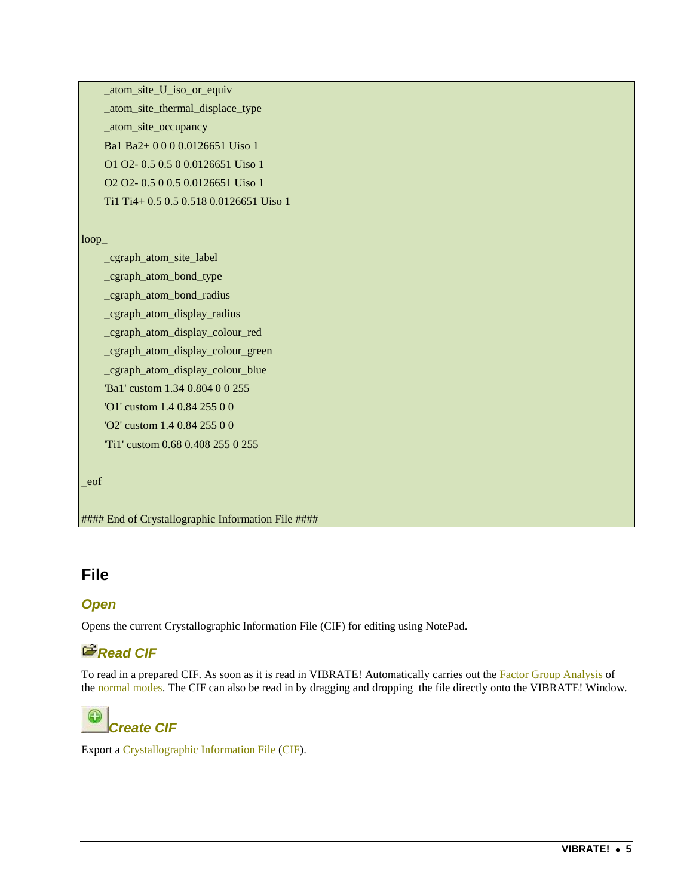\_atom\_site\_U\_iso\_or\_equiv \_atom\_site\_thermal\_displace\_type \_atom\_site\_occupancy Ba1 Ba2+ 0 0 0 0.0126651 Uiso 1 O1 O2- 0.5 0.5 0 0.0126651 Uiso 1 O2 O2- 0.5 0 0.5 0.0126651 Uiso 1 Ti1 Ti4+ 0.5 0.5 0.518 0.0126651 Uiso 1

#### loop\_

 \_cgraph\_atom\_site\_label \_cgraph\_atom\_bond\_type \_cgraph\_atom\_bond\_radius \_cgraph\_atom\_display\_radius \_cgraph\_atom\_display\_colour\_red \_cgraph\_atom\_display\_colour\_green \_cgraph\_atom\_display\_colour\_blue 'Ba1' custom 1.34 0.804 0 0 255 'O1' custom 1.4 0.84 255 0 0 'O2' custom 1.4 0.84 255 0 0 'Ti1' custom 0.68 0.408 255 0 255

```
_eof
```
#### End of Crystallographic Information File ####

#### **File**

#### *Open*

Opens the current Crystallographic Information File (CIF) for editing using NotePad.

#### *<u><i><b>P* Read CIF</u>

To read in a prepared CIF. As soon as it is read in VIBRATE! Automatically carries out the Factor Group Analysis of the normal modes. The CIF can also be read in by dragging and dropping the file directly onto the VIBRATE! Window.

## *Create CIF*

Export a Crystallographic Information File (CIF).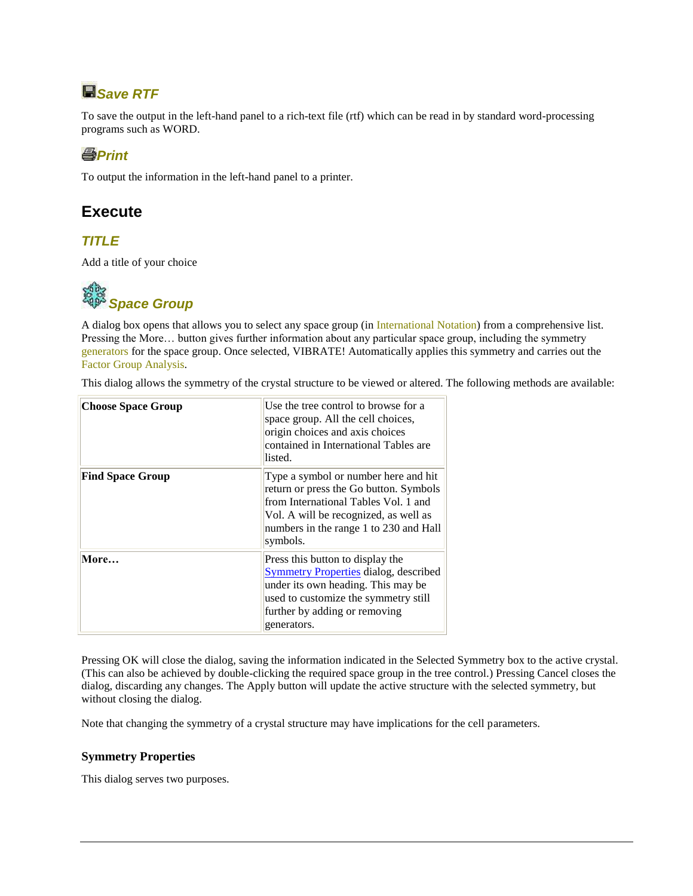## *Save RTF*

To save the output in the left-hand panel to a rich-text file (rtf) which can be read in by standard word-processing programs such as WORD.

#### *<u></u><u></u>Print***</del>**

To output the information in the left-hand panel to a printer.

#### **Execute**

#### *TITLE*

Add a title of your choice



A dialog box opens that allows you to select any space group (in International Notation) from a comprehensive list. Pressing the More… button gives further information about any particular space group, including the symmetry generators for the space group. Once selected, VIBRATE! Automatically applies this symmetry and carries out the Factor Group Analysis.

This dialog allows the symmetry of the crystal structure to be viewed or altered. The following methods are available:

| <b>Choose Space Group</b> | Use the tree control to browse for a<br>space group. All the cell choices,<br>origin choices and axis choices<br>contained in International Tables are<br>listed.                                                     |
|---------------------------|-----------------------------------------------------------------------------------------------------------------------------------------------------------------------------------------------------------------------|
| <b>Find Space Group</b>   | Type a symbol or number here and hit<br>return or press the Go button. Symbols<br>from International Tables Vol. 1 and<br>Vol. A will be recognized, as well as<br>numbers in the range 1 to 230 and Hall<br>symbols. |
| More                      | Press this button to display the<br><b>Symmetry Properties dialog, described</b><br>under its own heading. This may be<br>used to customize the symmetry still<br>further by adding or removing<br>generators.        |

Pressing OK will close the dialog, saving the information indicated in the Selected Symmetry box to the active crystal. (This can also be achieved by double-clicking the required space group in the tree control.) Pressing Cancel closes the dialog, discarding any changes. The Apply button will update the active structure with the selected symmetry, but without closing the dialog.

Note that changing the symmetry of a crystal structure may have implications for the cell parameters.

#### <span id="page-5-0"></span>**Symmetry Properties**

This dialog serves two purposes.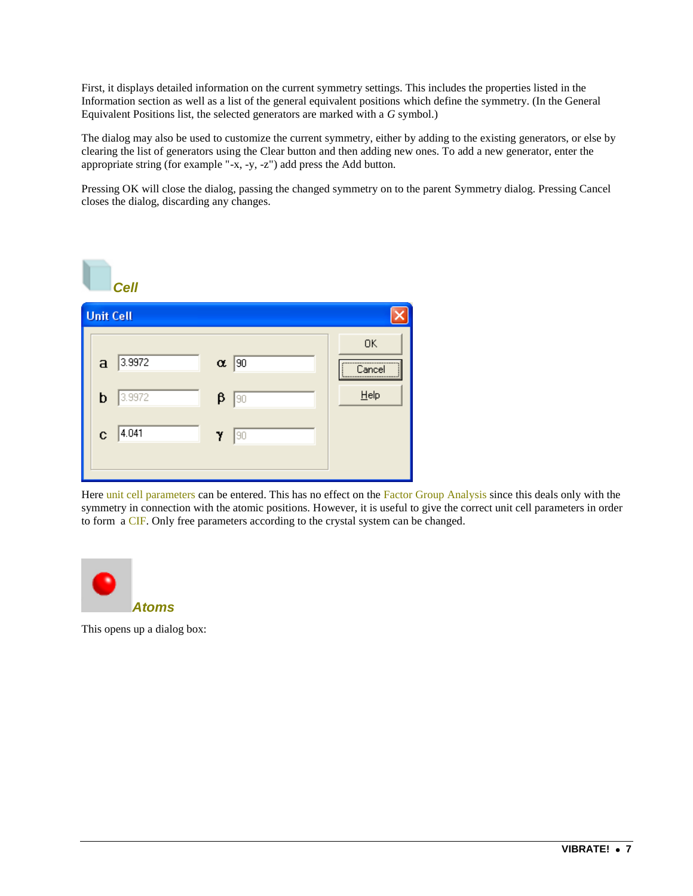First, it displays detailed information on the current symmetry settings. This includes the properties listed in the Information section as well as a list of the general equivalent positions which define the symmetry. (In the General Equivalent Positions list, the selected generators are marked with a *G* symbol.)

The dialog may also be used to customize the current symmetry, either by adding to the existing generators, or else by clearing the list of generators using the Clear button and then adding new ones. To add a new generator, enter the appropriate string (for example "-x, -y, -z") add press the Add button.

Pressing OK will close the dialog, passing the changed symmetry on to the parent Symmetry dialog. Pressing Cancel closes the dialog, discarding any changes.



Here unit cell parameters can be entered. This has no effect on the Factor Group Analysis since this deals only with the symmetry in connection with the atomic positions. However, it is useful to give the correct unit cell parameters in order to form a CIF. Only free parameters according to the crystal system can be changed.



This opens up a dialog box: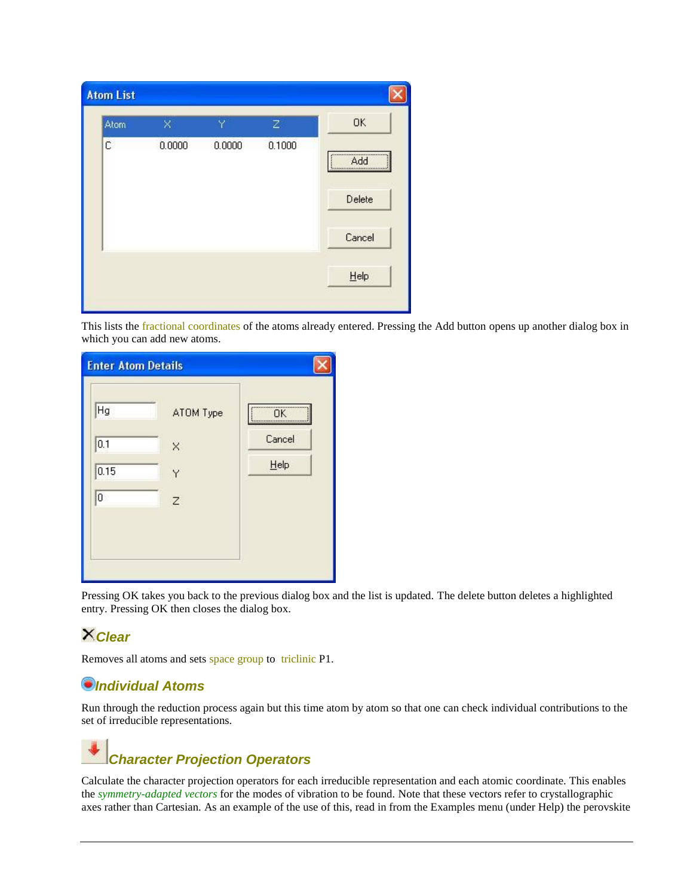| Atom | ×      | Y      | $\mathbb{Z}$ | <b>OK</b> |
|------|--------|--------|--------------|-----------|
| C    | 0.0000 | 0.0000 | 0.1000       | Add       |
|      |        |        |              | Delete    |
|      |        |        |              | Cancel    |
|      |        |        |              | He        |

This lists the fractional coordinates of the atoms already entered. Pressing the Add button opens up another dialog box in which you can add new atoms.

| <b>Enter Atom Details</b>            |                                     |                             |
|--------------------------------------|-------------------------------------|-----------------------------|
| Hg<br>0.1<br>0.15<br>$\vert 0 \vert$ | ATOM Type<br>X<br>Ÿ<br>$\mathsf{Z}$ | <b>OK</b><br>Cancel<br>Help |

Pressing OK takes you back to the previous dialog box and the list is updated. The delete button deletes a highlighted entry. Pressing OK then closes the dialog box.

#### *Clear*

Removes all atoms and sets space group to triclinic P1.

#### <span id="page-7-0"></span>*Individual Atoms*

<span id="page-7-1"></span>Run through the reduction process again but this time atom by atom so that one can check individual contributions to the set of irreducible representations.

## *Character Projection Operators*

Calculate the character projection operators for each irreducible representation and each atomic coordinate. This enables the *symmetry-adapted vectors* for the modes of vibration to be found. Note that these vectors refer to crystallographic axes rather than Cartesian. As an example of the use of this, read in from the Examples menu (under Help) the perovskite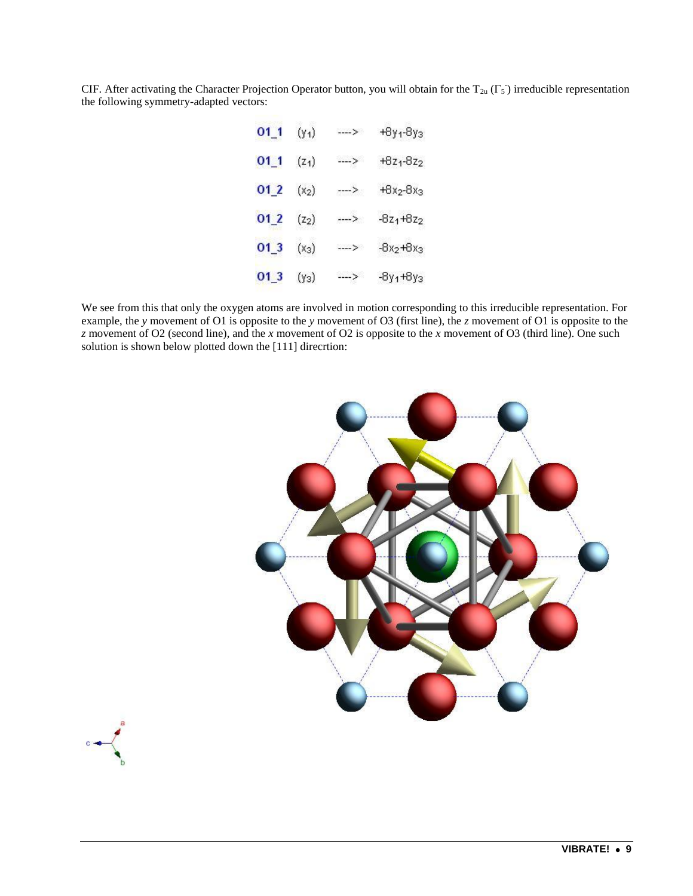CIF. After activating the Character Projection Operator button, you will obtain for the  $T_{2u}(\Gamma_5)$  irreducible representation the following symmetry-adapted vectors:

| $01_1$          | $(y_1)$ | ----> | +8y <sub>1</sub> -8y <sub>3</sub> |
|-----------------|---------|-------|-----------------------------------|
| $01_1$          | $(z_1)$ | ----> | $+8z_1-8z_2$                      |
| 012             | $(x_2)$ | ----> | $+8x_2-8x_3$                      |
| 01 <sub>2</sub> | $(z_2)$ | --->  | $-8z_1+8z_2$                      |
| $01_3$          | $(x_3)$ | ----> | $-8x_2+8x_3$                      |
| $01_3$          | $(y_3)$ | ----> | $-8y_1+8y_3$                      |

We see from this that only the oxygen atoms are involved in motion corresponding to this irreducible representation. For example, the *y* movement of O1 is opposite to the *y* movement of O3 (first line), the *z* movement of O1 is opposite to the *z* movement of O2 (second line), and the *x* movement of O2 is opposite to the *x* movement of O3 (third line). One such solution is shown below plotted down the [111] direcrtion:



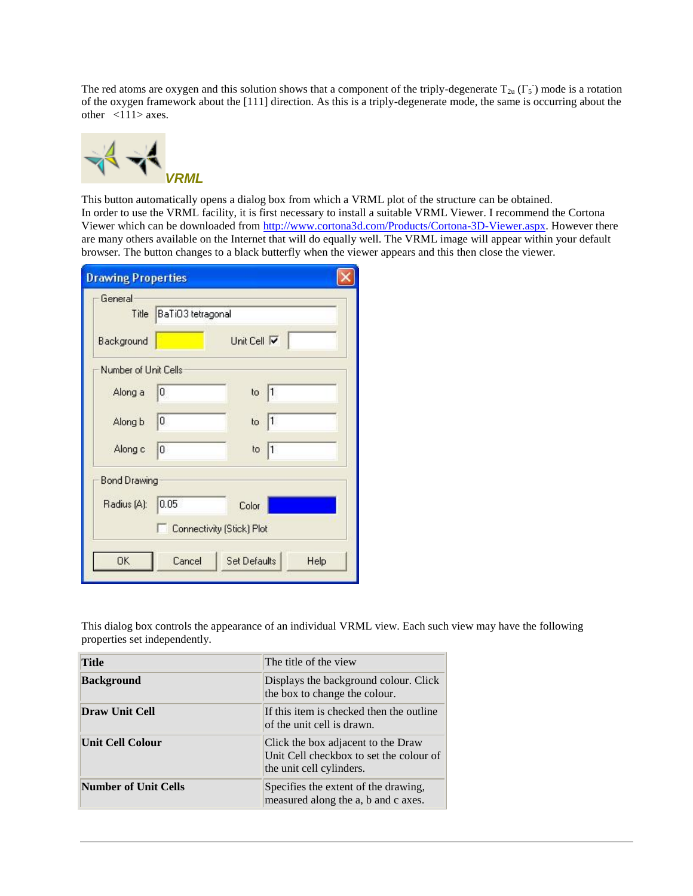The red atoms are oxygen and this solution shows that a component of the triply-degenerate  $T_{2u}(\Gamma_5)$  mode is a rotation of the oxygen framework about the [111] direction. As this is a triply-degenerate mode, the same is occurring about the other <111> axes.



This button automatically opens a dialog box from which a VRML plot of the structure can be obtained. In order to use the VRML facility, it is first necessary to install a suitable VRML Viewer. I recommend the Cortona Viewer which can be downloaded from [http://www.cortona3d.com/Products/Cortona-3D-Viewer.aspx.](http://www.cortona3d.com/Products/Cortona-3D-Viewer.aspx) However there are many others available on the Internet that will do equally well. The VRML image will appear within your default browser. The button changes to a black butterfly when the viewer appears and this then close the viewer.

| <b>Drawing Properties</b> |                         |                           |      |
|---------------------------|-------------------------|---------------------------|------|
| General                   | Title BaTiO3 tetragonal |                           |      |
| <b>Background</b>         |                         | Unit Cell V               |      |
| Number of Unit Cells      |                         |                           |      |
| Along a                   | 0                       | to $ 1$                   |      |
| Along b                   | 10                      | to $ 1$                   |      |
| Along c                   | 0                       | to $ 1$                   |      |
| <b>Bond Drawing</b>       |                         |                           |      |
| Radius (A):               | 0.05                    | Color                     |      |
|                           |                         | Connectivity (Stick) Plot |      |
| 0K                        | Cancel                  | Set Defaults              | Help |

This dialog box controls the appearance of an individual VRML view. Each such view may have the following properties set independently.

| <b>Title</b>                | The title of the view                                                                                     |
|-----------------------------|-----------------------------------------------------------------------------------------------------------|
| <b>Background</b>           | Displays the background colour. Click<br>the box to change the colour.                                    |
| <b>Draw Unit Cell</b>       | If this item is checked then the outline<br>of the unit cell is drawn.                                    |
| <b>Unit Cell Colour</b>     | Click the box adjacent to the Draw<br>Unit Cell checkbox to set the colour of<br>the unit cell cylinders. |
| <b>Number of Unit Cells</b> | Specifies the extent of the drawing,<br>measured along the a, b and c axes.                               |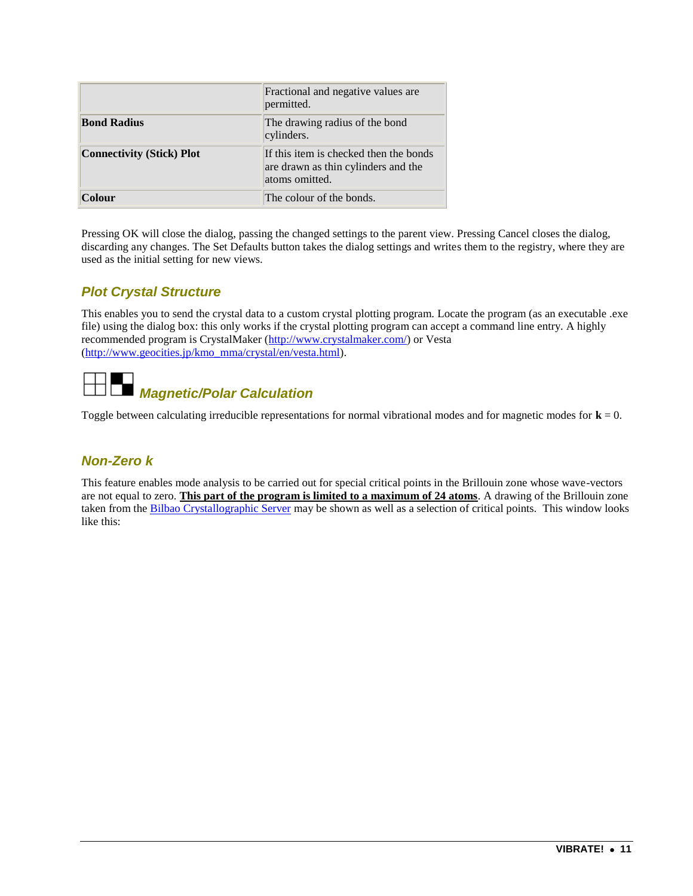|                                  | Fractional and negative values are<br>permitted.                                                |
|----------------------------------|-------------------------------------------------------------------------------------------------|
| <b>Bond Radius</b>               | The drawing radius of the bond<br>cylinders.                                                    |
| <b>Connectivity (Stick) Plot</b> | If this item is checked then the bonds<br>are drawn as thin cylinders and the<br>atoms omitted. |
| Colour                           | The colour of the bonds.                                                                        |

Pressing OK will close the dialog, passing the changed settings to the parent view. Pressing Cancel closes the dialog, discarding any changes. The Set Defaults button takes the dialog settings and writes them to the registry, where they are used as the initial setting for new views.

#### *Plot Crystal Structure*

This enables you to send the crystal data to a custom crystal plotting program. Locate the program (as an executable .exe file) using the dialog box: this only works if the crystal plotting program can accept a command line entry. A highly recommended program is CrystalMaker [\(http://www.crystalmaker.com/\)](http://www.crystalmaker.com/) or Vesta [\(http://www.geocities.jp/kmo\\_mma/crystal/en/vesta.html\)](http://www.geocities.jp/kmo_mma/crystal/en/vesta.html).



Toggle between calculating irreducible representations for normal vibrational modes and for magnetic modes for **k** = 0.

#### *Non-Zero k*

This feature enables mode analysis to be carried out for special critical points in the Brillouin zone whose wave-vectors are not equal to zero. **This part of the program is limited to a maximum of 24 atoms**. A drawing of the Brillouin zone taken from the [Bilbao Crystallographic Server](http://www.cryst.ehu.es/) may be shown as well as a selection of critical points. This window looks like this: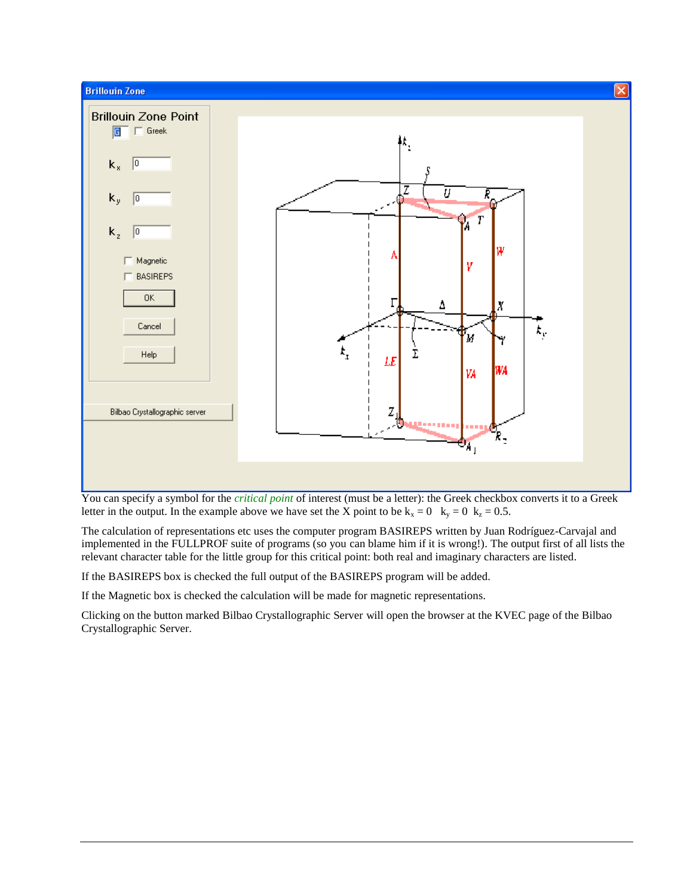

You can specify a symbol for the *critical point* of interest (must be a letter): the Greek checkbox converts it to a Greek letter in the output. In the example above we have set the X point to be  $k_x = 0$   $k_y = 0$   $k_z = 0.5$ .

The calculation of representations etc uses the computer program BASIREPS written by Juan Rodríguez-Carvajal and implemented in the FULLPROF suite of programs (so you can blame him if it is wrong!). The output first of all lists the relevant character table for the little group for this critical point: both real and imaginary characters are listed.

If the BASIREPS box is checked the full output of the BASIREPS program will be added.

If the Magnetic box is checked the calculation will be made for magnetic representations.

Clicking on the button marked Bilbao Crystallographic Server will open the browser at the KVEC page of the Bilbao Crystallographic Server.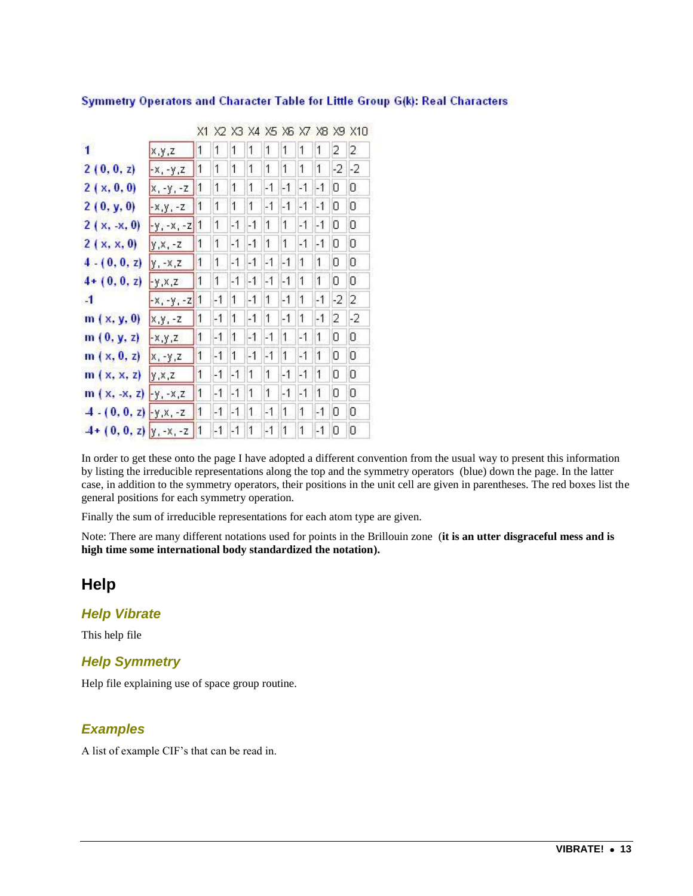|                             |              | X1                   |      | X2 X3 X4 X5 X6 X7 X8 |      |      |      |                |      |      | X9 X10 |
|-----------------------------|--------------|----------------------|------|----------------------|------|------|------|----------------|------|------|--------|
| 1                           | x, y, z      | 1                    | 1    | 1                    | 1    | 1    | 1    | 1              | 1    | 2    | 2      |
| 2(0, 0, z)                  | $-X, -Y, Z$  | 1                    | 1    | 1                    | 1    | 1    | 1    | 1              | 1    | -2   | $-2$   |
| 2(x, 0, 0)                  | $x, -y, -z$  | $\ddot{\phantom{1}}$ | 1    | 1                    | 1    | -1   | $-1$ | 21             | $-1$ | 0    | 0      |
| 2(0, y, 0)                  | $-x, y, -z$  | $\overline{1}$       | 1    | 1                    | 1    | $-1$ | $-1$ | $-1$           | $-1$ | 0    | 0      |
| $2(x, -x, 0)$               | $-y - x - z$ | $\mathbf{1}$         | 1    | $-1$                 | $-1$ | 1    | 1    | $-1$           | $-1$ | 0    | 0      |
| 2(x, x, 0)                  | $y, x, -z$   | 1                    | 1    | $-1$                 | $-1$ | 1    | 1    | $-1$           | $-1$ | 0    | 0      |
| $4 - (0, 0, z)$             | $y - x, z$   | 1                    | 1    | -1                   | $-1$ | -1   | $-1$ | 1              | 1    | 0    | 0      |
| $4 + (0, 0, z)$             | $-y, x, z$   | 1                    | 1    | $-1$                 | $-1$ | $-1$ | $-1$ | $\overline{1}$ | 1    | 0    | 0      |
| $-1$                        | $-x, -y, -z$ | $\mathbf{1}$         | $-1$ | 1                    | $-1$ | 1    | $-1$ | 1              | $-1$ | $-2$ | 2      |
| m(x, y, 0)                  | $x,y,-z$     | 1                    | $-1$ | 1                    | $-1$ | 1    | $-1$ | $\mathbf{1}$   | $-1$ | 2    | $-2$   |
| m(0, y, z)                  | $-X, Y, Z$   | 1                    | $-1$ | 1                    | $-1$ | -1   | 1    | -1             | 1    | 0    | 0      |
| m(x, 0, z)                  | $X, -Y, Z$   | 1                    | $-1$ | 1                    | $-1$ | $-1$ | 1    | $-1$           | 1    | 0    | 0      |
| m(x, x, z)                  | y, x, z      | 1                    | $-1$ | $-1$                 | 1    | 1    | $-1$ | $-1$           | 1    | Ū    | 0      |
| $m(x, -x, z) - y, -x, z$    |              | $\mathbf{1}$         | $-1$ | $-1$                 | 1    | 1    | $-1$ | $-1$           | 1    | 0    | 0      |
| $-4 - (0, 0, z) - y, x, -z$ |              | 1                    | $-1$ | -1                   | 1    | -1   | 1    | $\mathbf{1}$   | $-1$ | 0    | 0      |
| $4+(0, 0, z)$ y -x, -z      |              | $\vert$ 1            | $-1$ | $-1$                 | 1    | $-1$ | 1    | 1              | $-1$ | 0    | 0      |

#### Symmetry Operators and Character Table for Little Group G(k): Real Characters

In order to get these onto the page I have adopted a different convention from the usual way to present this information by listing the irreducible representations along the top and the symmetry operators (blue) down the page. In the latter case, in addition to the symmetry operators, their positions in the unit cell are given in parentheses. The red boxes list the general positions for each symmetry operation.

Finally the sum of irreducible representations for each atom type are given.

Note: There are many different notations used for points in the Brillouin zone (**it is an utter disgraceful mess and is high time some international body standardized the notation).**

#### **Help**

#### *Help Vibrate*

This help file

#### *Help Symmetry*

Help file explaining use of space group routine.

#### *Examples*

A list of example CIF's that can be read in.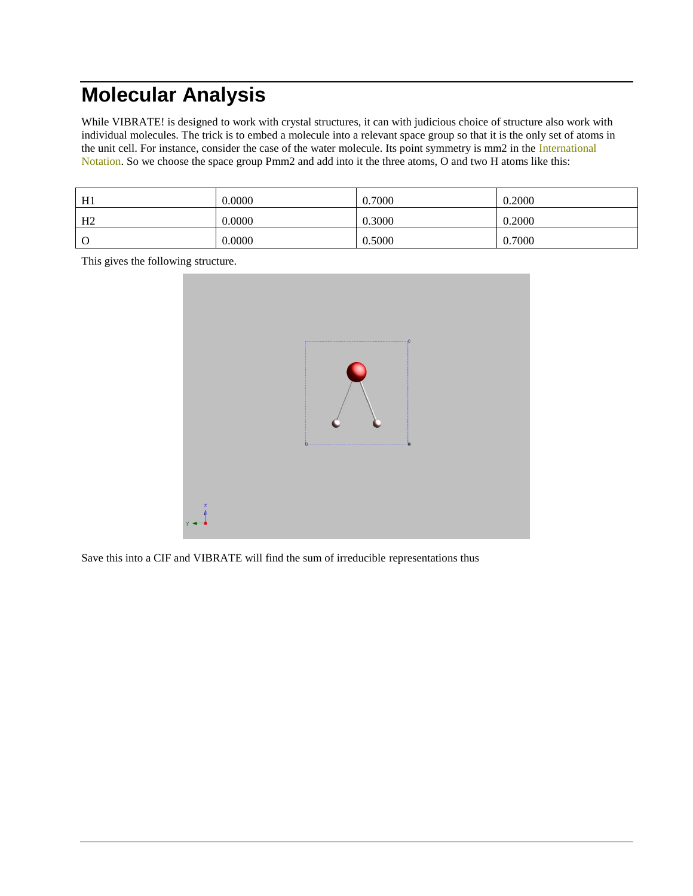## **Molecular Analysis**

While VIBRATE! is designed to work with crystal structures, it can with judicious choice of structure also work with individual molecules. The trick is to embed a molecule into a relevant space group so that it is the only set of atoms in the unit cell. For instance, consider the case of the water molecule. Its point symmetry is mm2 in the International Notation. So we choose the space group Pmm2 and add into it the three atoms, O and two H atoms like this:

| H1             | 0.0000 | 0.7000 | 0.2000 |
|----------------|--------|--------|--------|
| H <sub>2</sub> | 0.0000 | 0.3000 | 0.2000 |
| $\Omega$       | 0.0000 | 0.5000 | 0.7000 |

This gives the following structure.



Save this into a CIF and VIBRATE will find the sum of irreducible representations thus